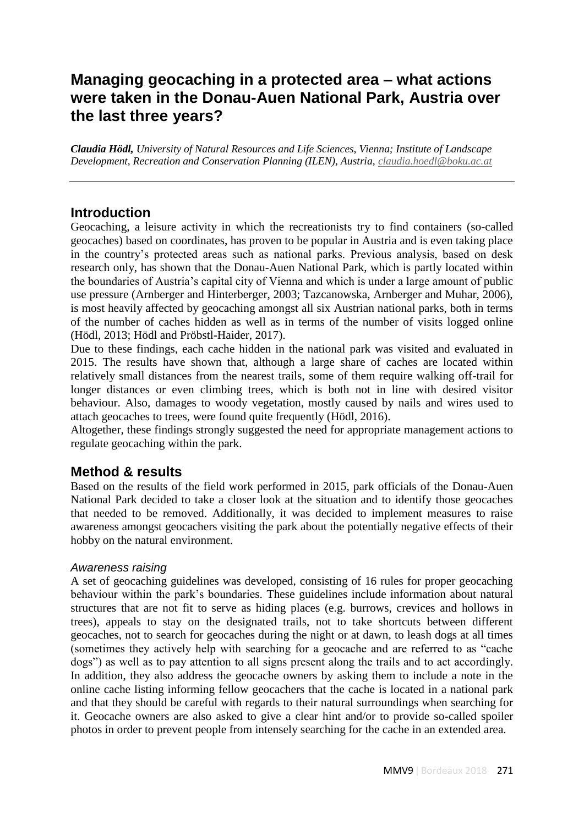# **Managing geocaching in a protected area – what actions were taken in the Donau-Auen National Park, Austria over the last three years?**

*Claudia Hödl, University of Natural Resources and Life Sciences, Vienna; Institute of Landscape Development, Recreation and Conservation Planning (ILEN), Austria, [claudia.hoedl@boku.ac.at](mailto:claudia.hoedl@boku.ac.at)*

## **Introduction**

Geocaching, a leisure activity in which the recreationists try to find containers (so-called geocaches) based on coordinates, has proven to be popular in Austria and is even taking place in the country's protected areas such as national parks. Previous analysis, based on desk research only, has shown that the Donau-Auen National Park, which is partly located within the boundaries of Austria's capital city of Vienna and which is under a large amount of public use pressure (Arnberger and Hinterberger, 2003; Tazcanowska, Arnberger and Muhar, 2006), is most heavily affected by geocaching amongst all six Austrian national parks, both in terms of the number of caches hidden as well as in terms of the number of visits logged online (Hödl, 2013; Hödl and Pröbstl-Haider, 2017).

Due to these findings, each cache hidden in the national park was visited and evaluated in 2015. The results have shown that, although a large share of caches are located within relatively small distances from the nearest trails, some of them require walking off-trail for longer distances or even climbing trees, which is both not in line with desired visitor behaviour. Also, damages to woody vegetation, mostly caused by nails and wires used to attach geocaches to trees, were found quite frequently (Hödl, 2016).

Altogether, these findings strongly suggested the need for appropriate management actions to regulate geocaching within the park.

## **Method & results**

Based on the results of the field work performed in 2015, park officials of the Donau-Auen National Park decided to take a closer look at the situation and to identify those geocaches that needed to be removed. Additionally, it was decided to implement measures to raise awareness amongst geocachers visiting the park about the potentially negative effects of their hobby on the natural environment.

#### *Awareness raising*

A set of geocaching guidelines was developed, consisting of 16 rules for proper geocaching behaviour within the park's boundaries. These guidelines include information about natural structures that are not fit to serve as hiding places (e.g. burrows, crevices and hollows in trees), appeals to stay on the designated trails, not to take shortcuts between different geocaches, not to search for geocaches during the night or at dawn, to leash dogs at all times (sometimes they actively help with searching for a geocache and are referred to as "cache dogs") as well as to pay attention to all signs present along the trails and to act accordingly. In addition, they also address the geocache owners by asking them to include a note in the online cache listing informing fellow geocachers that the cache is located in a national park and that they should be careful with regards to their natural surroundings when searching for it. Geocache owners are also asked to give a clear hint and/or to provide so-called spoiler photos in order to prevent people from intensely searching for the cache in an extended area.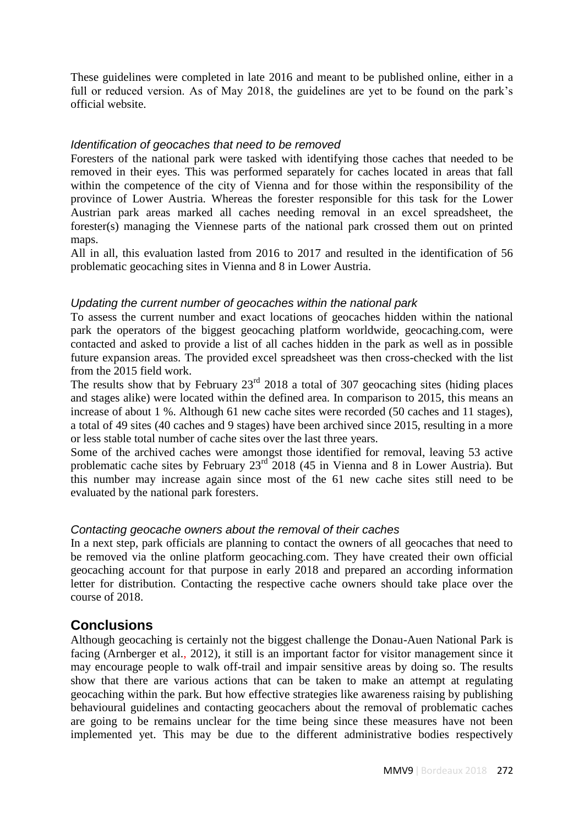These guidelines were completed in late 2016 and meant to be published online, either in a full or reduced version. As of May 2018, the guidelines are yet to be found on the park's official website.

#### *Identification of geocaches that need to be removed*

Foresters of the national park were tasked with identifying those caches that needed to be removed in their eyes. This was performed separately for caches located in areas that fall within the competence of the city of Vienna and for those within the responsibility of the province of Lower Austria. Whereas the forester responsible for this task for the Lower Austrian park areas marked all caches needing removal in an excel spreadsheet, the forester(s) managing the Viennese parts of the national park crossed them out on printed maps.

All in all, this evaluation lasted from 2016 to 2017 and resulted in the identification of 56 problematic geocaching sites in Vienna and 8 in Lower Austria.

## *Updating the current number of geocaches within the national park*

To assess the current number and exact locations of geocaches hidden within the national park the operators of the biggest geocaching platform worldwide, geocaching.com, were contacted and asked to provide a list of all caches hidden in the park as well as in possible future expansion areas. The provided excel spreadsheet was then cross-checked with the list from the 2015 field work.

The results show that by February  $23<sup>rd</sup>$  2018 a total of 307 geocaching sites (hiding places and stages alike) were located within the defined area. In comparison to 2015, this means an increase of about 1 %. Although 61 new cache sites were recorded (50 caches and 11 stages), a total of 49 sites (40 caches and 9 stages) have been archived since 2015, resulting in a more or less stable total number of cache sites over the last three years.

Some of the archived caches were amongst those identified for removal, leaving 53 active problematic cache sites by February 23<sup>rd</sup> 2018 (45 in Vienna and 8 in Lower Austria). But this number may increase again since most of the 61 new cache sites still need to be evaluated by the national park foresters.

## *Contacting geocache owners about the removal of their caches*

In a next step, park officials are planning to contact the owners of all geocaches that need to be removed via the online platform geocaching.com. They have created their own official geocaching account for that purpose in early 2018 and prepared an according information letter for distribution. Contacting the respective cache owners should take place over the course of 2018.

## **Conclusions**

Although geocaching is certainly not the biggest challenge the Donau-Auen National Park is facing (Arnberger et al., 2012), it still is an important factor for visitor management since it may encourage people to walk off-trail and impair sensitive areas by doing so. The results show that there are various actions that can be taken to make an attempt at regulating geocaching within the park. But how effective strategies like awareness raising by publishing behavioural guidelines and contacting geocachers about the removal of problematic caches are going to be remains unclear for the time being since these measures have not been implemented yet. This may be due to the different administrative bodies respectively